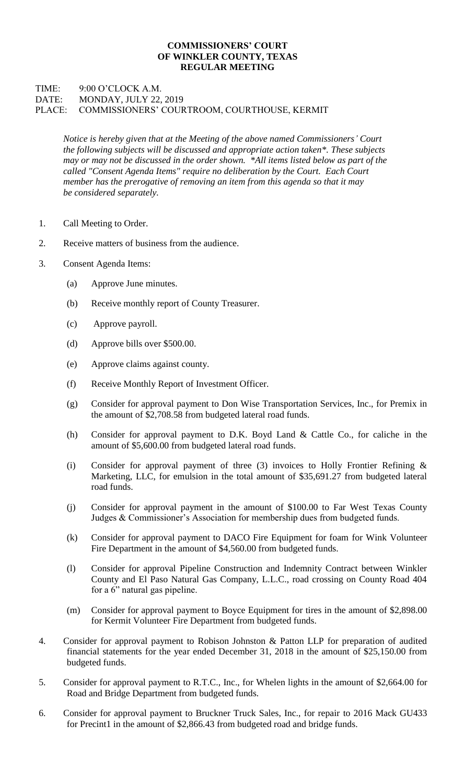## **COMMISSIONERS' COURT OF WINKLER COUNTY, TEXAS REGULAR MEETING**

## TIME: 9:00 O'CLOCK A.M. DATE: MONDAY, JULY 22, 2019 PLACE: COMMISSIONERS' COURTROOM, COURTHOUSE, KERMIT

*Notice is hereby given that at the Meeting of the above named Commissioners' Court the following subjects will be discussed and appropriate action taken\*. These subjects may or may not be discussed in the order shown. \*All items listed below as part of the called "Consent Agenda Items" require no deliberation by the Court. Each Court member has the prerogative of removing an item from this agenda so that it may be considered separately.*

- 1. Call Meeting to Order.
- 2. Receive matters of business from the audience.
- 3. Consent Agenda Items:
	- (a) Approve June minutes.
	- (b) Receive monthly report of County Treasurer.
	- (c) Approve payroll.
	- (d) Approve bills over \$500.00.
	- (e) Approve claims against county.
	- (f) Receive Monthly Report of Investment Officer.
	- (g) Consider for approval payment to Don Wise Transportation Services, Inc., for Premix in the amount of \$2,708.58 from budgeted lateral road funds.
	- (h) Consider for approval payment to D.K. Boyd Land & Cattle Co., for caliche in the amount of \$5,600.00 from budgeted lateral road funds.
	- (i) Consider for approval payment of three (3) invoices to Holly Frontier Refining & Marketing, LLC, for emulsion in the total amount of \$35,691.27 from budgeted lateral road funds.
	- (j) Consider for approval payment in the amount of \$100.00 to Far West Texas County Judges & Commissioner's Association for membership dues from budgeted funds.
	- (k) Consider for approval payment to DACO Fire Equipment for foam for Wink Volunteer Fire Department in the amount of \$4,560.00 from budgeted funds.
	- (l) Consider for approval Pipeline Construction and Indemnity Contract between Winkler County and El Paso Natural Gas Company, L.L.C., road crossing on County Road 404 for a 6" natural gas pipeline.
	- (m) Consider for approval payment to Boyce Equipment for tires in the amount of \$2,898.00 for Kermit Volunteer Fire Department from budgeted funds.
- 4. Consider for approval payment to Robison Johnston & Patton LLP for preparation of audited financial statements for the year ended December 31, 2018 in the amount of \$25,150.00 from budgeted funds.
- 5. Consider for approval payment to R.T.C., Inc., for Whelen lights in the amount of \$2,664.00 for Road and Bridge Department from budgeted funds.
- 6. Consider for approval payment to Bruckner Truck Sales, Inc., for repair to 2016 Mack GU433 for Precint1 in the amount of \$2,866.43 from budgeted road and bridge funds.